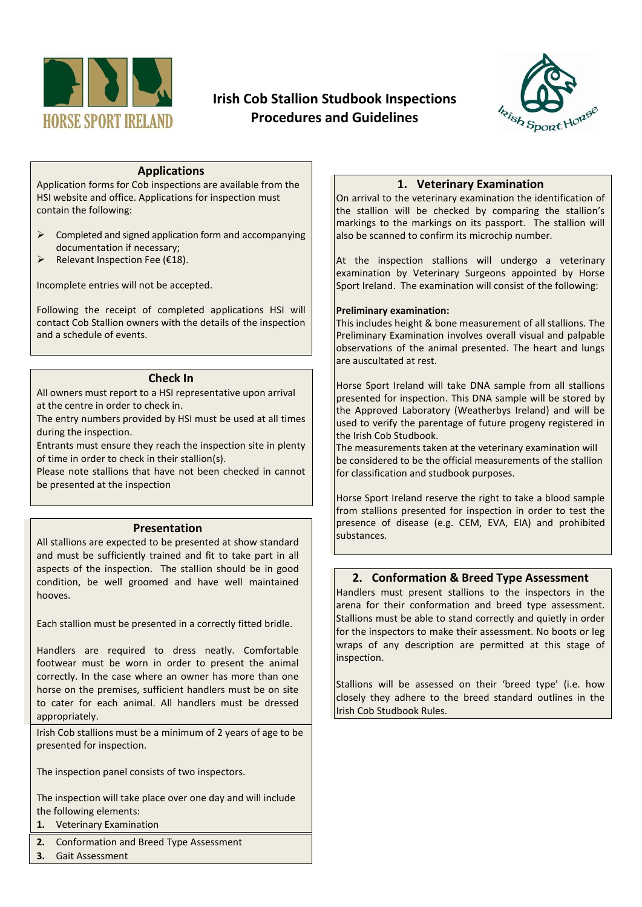

## **Irish Cob Stallion Studbook Inspections Procedures and Guidelines**



### **Applications**

Application forms for Cob inspections are available from the HSI website and office. Applications for inspection must contain the following:

- $\triangleright$  Completed and signed application form and accompanying documentation if necessary;
- $\triangleright$  Relevant Inspection Fee (€18).

Incomplete entries will not be accepted.

Following the receipt of completed applications HSI will contact Cob Stallion owners with the details of the inspection and a schedule of events.

#### **Check In**

All owners must report to a HSI representative upon arrival at the centre in order to check in.

The entry numbers provided by HSI must be used at all times during the inspection.

Entrants must ensure they reach the inspection site in plenty of time in order to check in their stallion(s).

Please note stallions that have not been checked in cannot be presented at the inspection

#### **Presentation**

All stallions are expected to be presented at show standard and must be sufficiently trained and fit to take part in all aspects of the inspection. The stallion should be in good condition, be well groomed and have well maintained hooves.

Each stallion must be presented in a correctly fitted bridle.

Handlers are required to dress neatly. Comfortable footwear must be worn in order to present the animal correctly. In the case where an owner has more than one horse on the premises, sufficient handlers must be on site to cater for each animal. All handlers must be dressed appropriately.

Irish Cob stallions must be a minimum of 2 years of age to be presented for inspection.

The inspection panel consists of two inspectors.

The inspection will take place over one day and will include the following elements:

- **1.** Veterinary Examination
- **2.** Conformation and Breed Type Assessment
- **3.** Gait Assessment

### **1. Veterinary Examination**

On arrival to the veterinary examination the identification of the stallion will be checked by comparing the stallion's markings to the markings on its passport. The stallion will also be scanned to confirm its microchip number.

At the inspection stallions will undergo a veterinary examination by Veterinary Surgeons appointed by Horse Sport Ireland. The examination will consist of the following:

#### **Preliminary examination:**

This includes height & bone measurement of all stallions. The Preliminary Examination involves overall visual and palpable observations of the animal presented. The heart and lungs are auscultated at rest.

Horse Sport Ireland will take DNA sample from all stallions presented for inspection. This DNA sample will be stored by the Approved Laboratory (Weatherbys Ireland) and will be used to verify the parentage of future progeny registered in the Irish Cob Studbook.

The measurements taken at the veterinary examination will be considered to be the official measurements of the stallion for classification and studbook purposes.

Horse Sport Ireland reserve the right to take a blood sample from stallions presented for inspection in order to test the presence of disease (e.g. CEM, EVA, EIA) and prohibited substances.

### **2. Conformation & Breed Type Assessment**

Handlers must present stallions to the inspectors in the arena for their conformation and breed type assessment. Stallions must be able to stand correctly and quietly in order for the inspectors to make their assessment. No boots or leg wraps of any description are permitted at this stage of inspection.

Stallions will be assessed on their 'breed type' (i.e. how closely they adhere to the breed standard outlines in the Irish Cob Studbook Rules.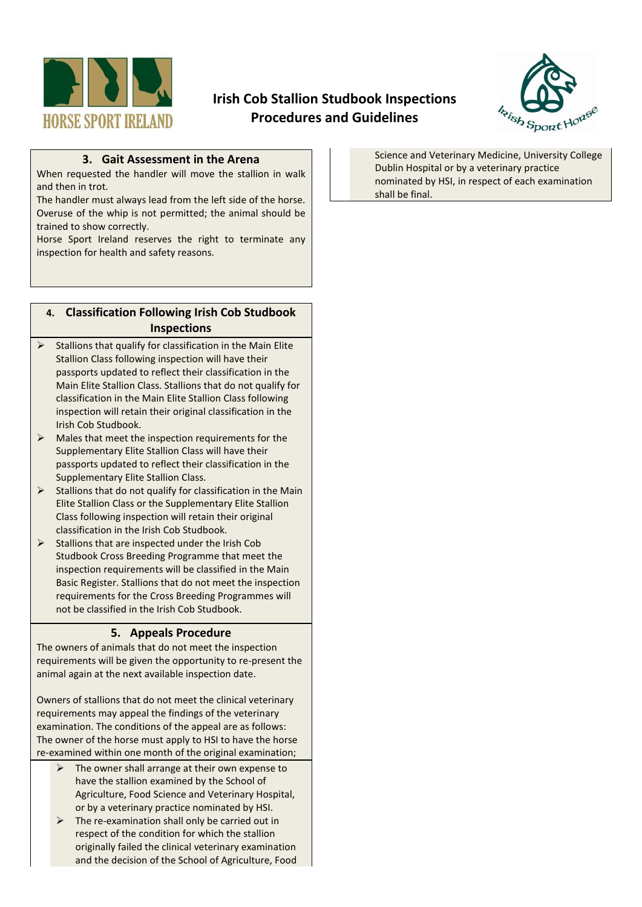

# **Irish Cob Stallion Studbook Inspections Procedures and Guidelines**



## **3. Gait Assessment in the Arena**

When requested the handler will move the stallion in walk and then in trot.

The handler must always lead from the left side of the horse. Overuse of the whip is not permitted; the animal should be trained to show correctly.

Horse Sport Ireland reserves the right to terminate any inspection for health and safety reasons.

## **4. Classification Following Irish Cob Studbook Inspections**

- $\triangleright$  Stallions that qualify for classification in the Main Elite Stallion Class following inspection will have their passports updated to reflect their classification in the Main Elite Stallion Class. Stallions that do not qualify for classification in the Main Elite Stallion Class following inspection will retain their original classification in the Irish Cob Studbook.
- $\triangleright$  Males that meet the inspection requirements for the Supplementary Elite Stallion Class will have their passports updated to reflect their classification in the Supplementary Elite Stallion Class.
- $\triangleright$  Stallions that do not qualify for classification in the Main Elite Stallion Class or the Supplementary Elite Stallion Class following inspection will retain their original classification in the Irish Cob Studbook.
- $\triangleright$  Stallions that are inspected under the Irish Cob Studbook Cross Breeding Programme that meet the inspection requirements will be classified in the Main Basic Register. Stallions that do not meet the inspection requirements for the Cross Breeding Programmes will not be classified in the Irish Cob Studbook.

## **5. Appeals Procedure**

The owners of animals that do not meet the inspection requirements will be given the opportunity to re-present the animal again at the next available inspection date.

Owners of stallions that do not meet the clinical veterinary requirements may appeal the findings of the veterinary examination. The conditions of the appeal are as follows: The owner of the horse must apply to HSI to have the horse re-examined within one month of the original examination;

- $\triangleright$  The owner shall arrange at their own expense to have the stallion examined by the School of Agriculture, Food Science and Veterinary Hospital, or by a veterinary practice nominated by HSI.
- $\triangleright$  The re-examination shall only be carried out in respect of the condition for which the stallion originally failed the clinical veterinary examination and the decision of the School of Agriculture, Food

Science and Veterinary Medicine, University College Dublin Hospital or by a veterinary practice nominated by HSI, in respect of each examination shall be final.